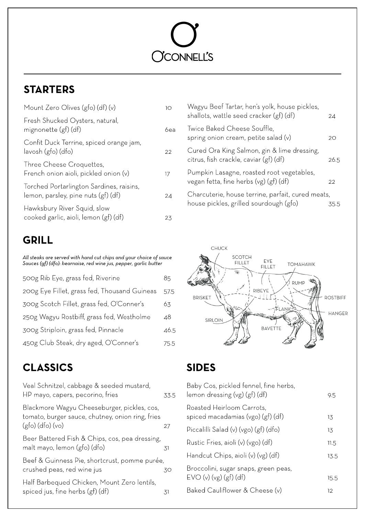# **OCONNELL'S**

# **STARTERS**

| Mount Zero Olives (gfo) (df) $(v)$                                              | IO  |
|---------------------------------------------------------------------------------|-----|
| Fresh Shucked Oysters, natural,<br>mignonette (gf) (df)                         | 6ea |
| Confit Duck Terrine, spiced orange jam,<br>lavosh (gfo) (dfo)                   | 22  |
| Three Cheese Croquettes,<br>French onion aioli, pickled onion (v)               | 17  |
| Torched Portarlington Sardines, raisins,<br>lemon, parsley, pine nuts (gf) (df) | 24  |
| Hawksbury River Squid, slow<br>cooked garlic, aioli, lemon (gf) (df)            | 23  |

## GRILL

**All steaksare served withhand cut chipsand your choice of sauce Sauces(gf) (dfo):bearnaise,redwine jus, pepper,garlicbutter**

| 500g Rib Eye, grass fed, Riverine            | 85   |
|----------------------------------------------|------|
| 200g Eye Fillet, grass fed, Thousand Guineas | 57.5 |
| 300g Scotch Fillet, grass fed, O'Conner's    | 63   |
| 250g Wagyu Rostbiff, grass fed, Westholme    | 48   |
| 300g Striploin, grass fed, Pinnacle          | 46.5 |
| 450g Club Steak, dry aged, O'Conner's        | 75.5 |

#### CLASSICS

| Veal Schnitzel, cabbage & seeded mustard,<br>HP mayo, capers, pecorino, fries                                         | 33.5 |
|-----------------------------------------------------------------------------------------------------------------------|------|
| Blackmore Wagyu Cheeseburger, pickles, cos,<br>tomato, burger sauce, chutney, onion ring, fries<br>$(gfo)$ (dfo) (vo) | 27   |
| Beer Battered Fish & Chips, cos, pea dressing,<br>malt mayo, lemon (gfo) (dfo)                                        | .31  |
| Beef & Guinness Pie, shortcrust, pomme purée,<br>crushed peas, red wine jus                                           | 30   |
| Half Barbequed Chicken, Mount Zero lentils,<br>spiced jus, fine herbs (gf) (df)                                       | .31  |

| Wagyu Beef Tartar, hen's yolk, house pickles,                                               |      |
|---------------------------------------------------------------------------------------------|------|
| shallots, wattle seed cracker (gf) (df)                                                     | 24   |
| Twice Baked Cheese Souttle,<br>spring onion cream, petite salad $(v)$                       | 20   |
| Cured Ora King Salmon, gin & lime dressing,<br>citrus, fish crackle, caviar (gf) (df)       | 26.5 |
| Pumpkin Lasagne, roasted root vegetables,<br>vegan fetta, fine herbs (vg) (gf) (df)         | 22   |
| Charcuterie, house terrine, parfait, cured meats,<br>house pickles, grilled sourdough (gfo) | 35.5 |



## SIDES

| Baby Cos, pickled fennel, fine herbs,<br>lemon dressing $(vg)(gf)(df)$ | 9.5  |
|------------------------------------------------------------------------|------|
| Roasted Heirloom Carrots,<br>spiced macadamias (vgo) (gf) (df)         | 13   |
| Piccalilli Salad (v) (vgo) (gf) (dfo)                                  | 13   |
| Rustic Fries, aioli (v) (vgo) (df)                                     | 11.5 |
| Handcut Chips, aioli (v) (vg) (df)                                     | 13.5 |
| Broccolini, sugar snaps, green peas,<br>EVO (v) (vg) (gf) (df)         | 15.5 |
| Baked Cauliflower & Cheese (v)                                         | 12   |